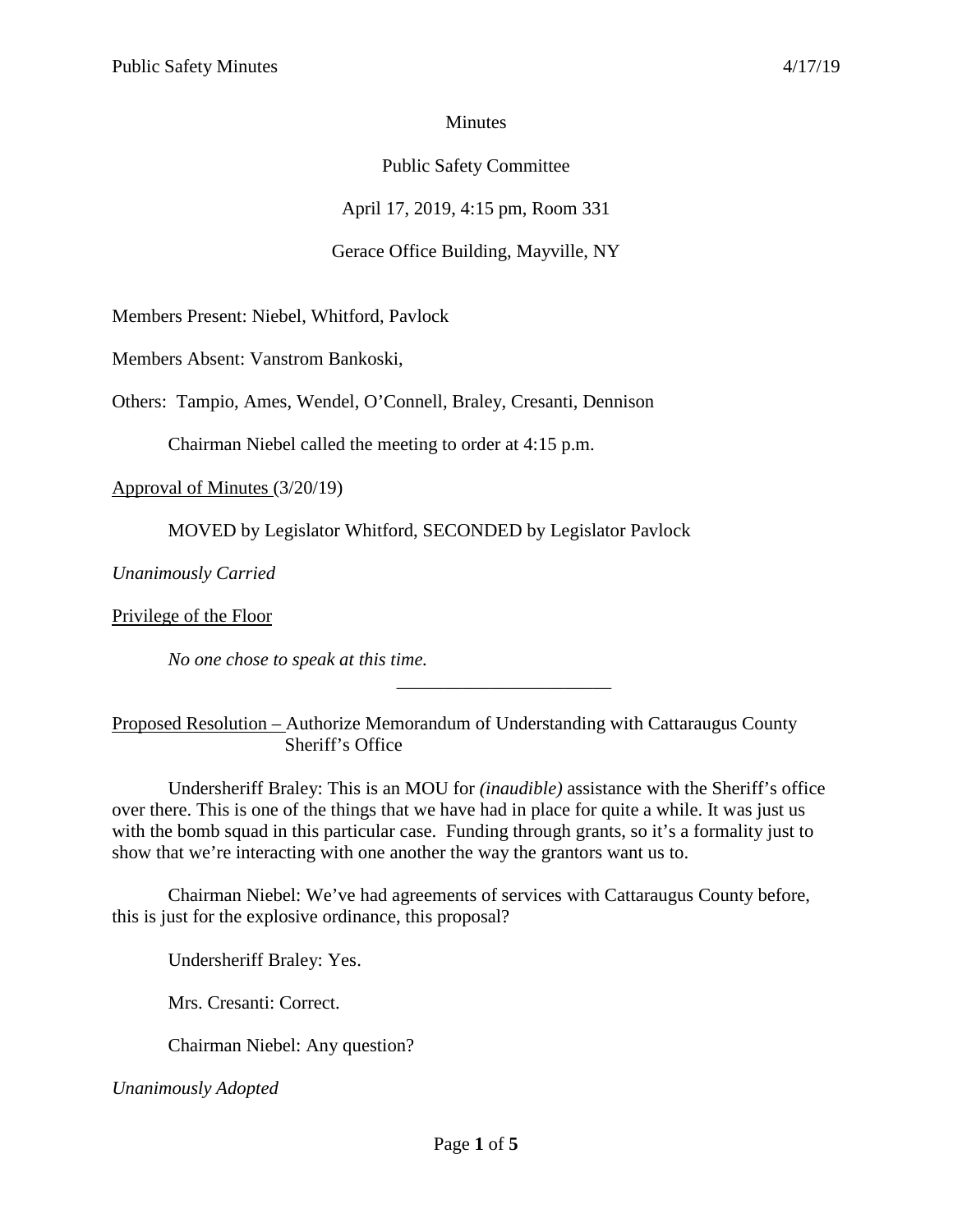## **Minutes**

## Public Safety Committee

April 17, 2019, 4:15 pm, Room 331

# Gerace Office Building, Mayville, NY

Members Present: Niebel, Whitford, Pavlock

Members Absent: Vanstrom Bankoski,

Others: Tampio, Ames, Wendel, O'Connell, Braley, Cresanti, Dennison

Chairman Niebel called the meeting to order at 4:15 p.m.

Approval of Minutes (3/20/19)

MOVED by Legislator Whitford, SECONDED by Legislator Pavlock

*Unanimously Carried*

Privilege of the Floor

*No one chose to speak at this time.*

Proposed Resolution – Authorize Memorandum of Understanding with Cattaraugus County Sheriff's Office

\_\_\_\_\_\_\_\_\_\_\_\_\_\_\_\_\_\_\_\_\_\_\_

Undersheriff Braley: This is an MOU for *(inaudible)* assistance with the Sheriff's office over there. This is one of the things that we have had in place for quite a while. It was just us with the bomb squad in this particular case. Funding through grants, so it's a formality just to show that we're interacting with one another the way the grantors want us to.

Chairman Niebel: We've had agreements of services with Cattaraugus County before, this is just for the explosive ordinance, this proposal?

Undersheriff Braley: Yes.

Mrs. Cresanti: Correct.

Chairman Niebel: Any question?

*Unanimously Adopted*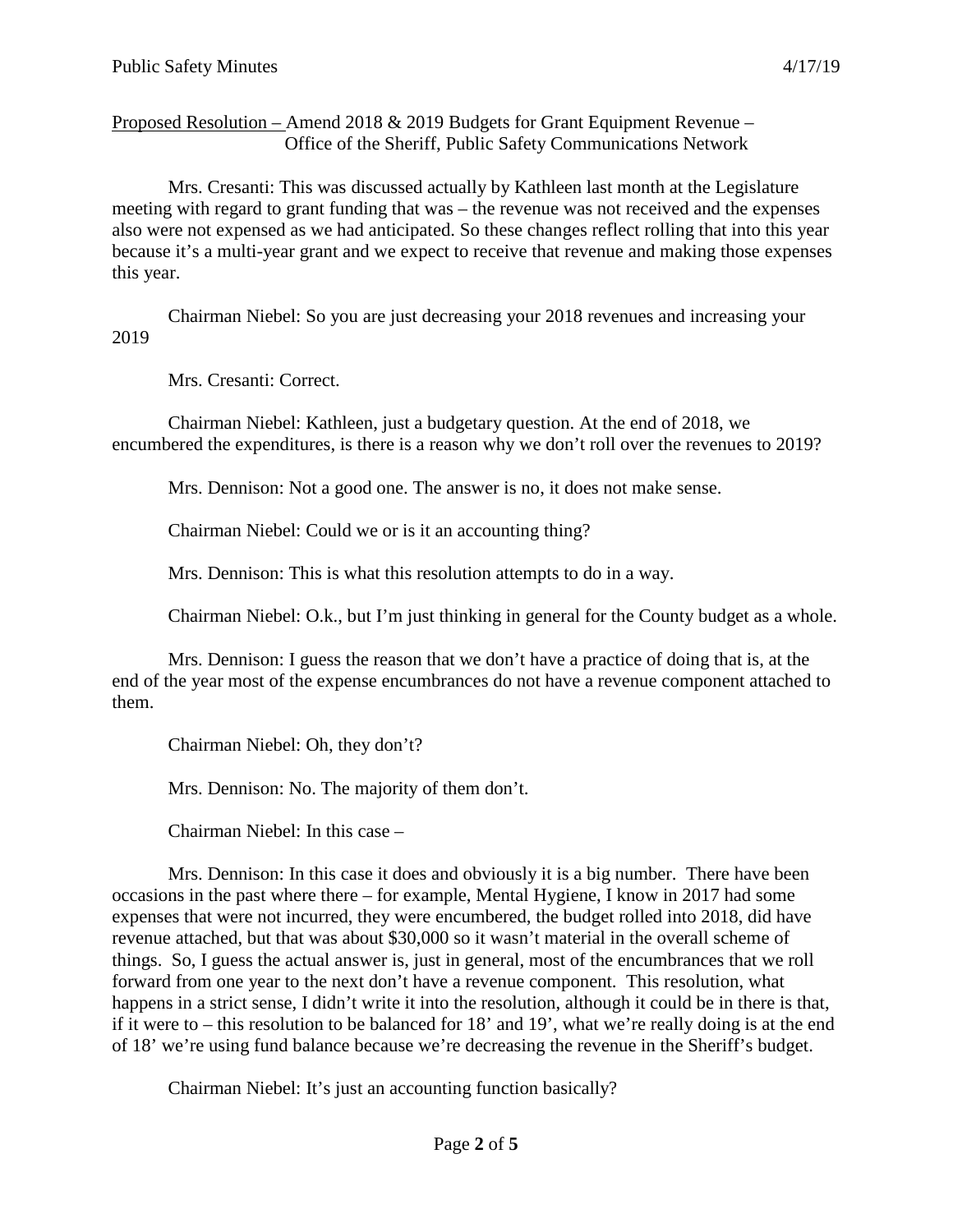Proposed Resolution – Amend 2018 & 2019 Budgets for Grant Equipment Revenue – Office of the Sheriff, Public Safety Communications Network

Mrs. Cresanti: This was discussed actually by Kathleen last month at the Legislature meeting with regard to grant funding that was – the revenue was not received and the expenses also were not expensed as we had anticipated. So these changes reflect rolling that into this year because it's a multi-year grant and we expect to receive that revenue and making those expenses this year.

Chairman Niebel: So you are just decreasing your 2018 revenues and increasing your 2019

Mrs. Cresanti: Correct.

Chairman Niebel: Kathleen, just a budgetary question. At the end of 2018, we encumbered the expenditures, is there is a reason why we don't roll over the revenues to 2019?

Mrs. Dennison: Not a good one. The answer is no, it does not make sense.

Chairman Niebel: Could we or is it an accounting thing?

Mrs. Dennison: This is what this resolution attempts to do in a way.

Chairman Niebel: O.k., but I'm just thinking in general for the County budget as a whole.

Mrs. Dennison: I guess the reason that we don't have a practice of doing that is, at the end of the year most of the expense encumbrances do not have a revenue component attached to them.

Chairman Niebel: Oh, they don't?

Mrs. Dennison: No. The majority of them don't.

Chairman Niebel: In this case –

Mrs. Dennison: In this case it does and obviously it is a big number. There have been occasions in the past where there – for example, Mental Hygiene, I know in 2017 had some expenses that were not incurred, they were encumbered, the budget rolled into 2018, did have revenue attached, but that was about \$30,000 so it wasn't material in the overall scheme of things. So, I guess the actual answer is, just in general, most of the encumbrances that we roll forward from one year to the next don't have a revenue component. This resolution, what happens in a strict sense, I didn't write it into the resolution, although it could be in there is that, if it were to – this resolution to be balanced for 18' and 19', what we're really doing is at the end of 18' we're using fund balance because we're decreasing the revenue in the Sheriff's budget.

Chairman Niebel: It's just an accounting function basically?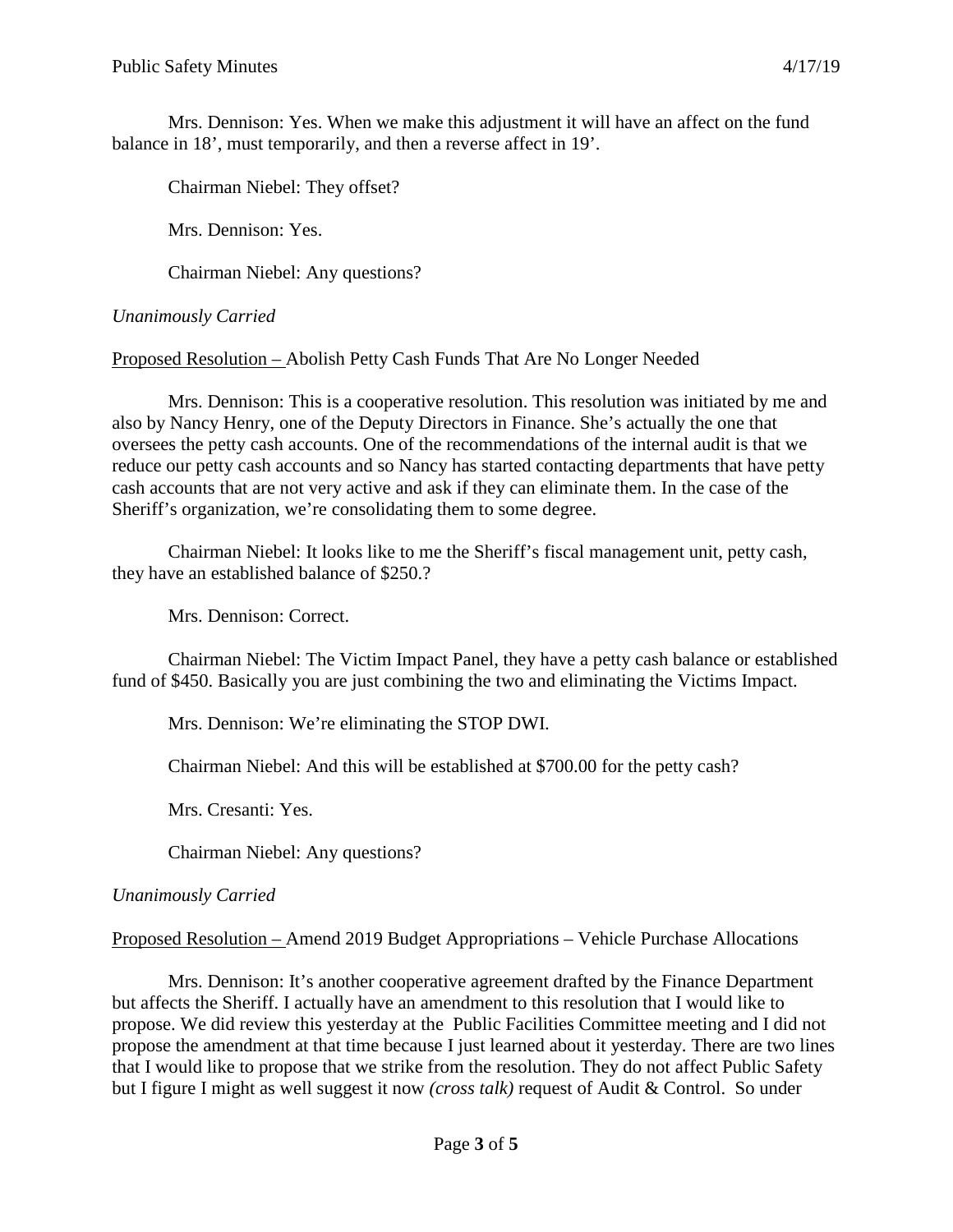Mrs. Dennison: Yes. When we make this adjustment it will have an affect on the fund balance in 18', must temporarily, and then a reverse affect in 19'.

Chairman Niebel: They offset?

Mrs. Dennison: Yes.

Chairman Niebel: Any questions?

## *Unanimously Carried*

Proposed Resolution – Abolish Petty Cash Funds That Are No Longer Needed

Mrs. Dennison: This is a cooperative resolution. This resolution was initiated by me and also by Nancy Henry, one of the Deputy Directors in Finance. She's actually the one that oversees the petty cash accounts. One of the recommendations of the internal audit is that we reduce our petty cash accounts and so Nancy has started contacting departments that have petty cash accounts that are not very active and ask if they can eliminate them. In the case of the Sheriff's organization, we're consolidating them to some degree.

Chairman Niebel: It looks like to me the Sheriff's fiscal management unit, petty cash, they have an established balance of \$250.?

Mrs. Dennison: Correct.

Chairman Niebel: The Victim Impact Panel, they have a petty cash balance or established fund of \$450. Basically you are just combining the two and eliminating the Victims Impact.

Mrs. Dennison: We're eliminating the STOP DWI.

Chairman Niebel: And this will be established at \$700.00 for the petty cash?

Mrs. Cresanti: Yes.

Chairman Niebel: Any questions?

#### *Unanimously Carried*

Proposed Resolution – Amend 2019 Budget Appropriations – Vehicle Purchase Allocations

Mrs. Dennison: It's another cooperative agreement drafted by the Finance Department but affects the Sheriff. I actually have an amendment to this resolution that I would like to propose. We did review this yesterday at the Public Facilities Committee meeting and I did not propose the amendment at that time because I just learned about it yesterday. There are two lines that I would like to propose that we strike from the resolution. They do not affect Public Safety but I figure I might as well suggest it now *(cross talk)* request of Audit & Control. So under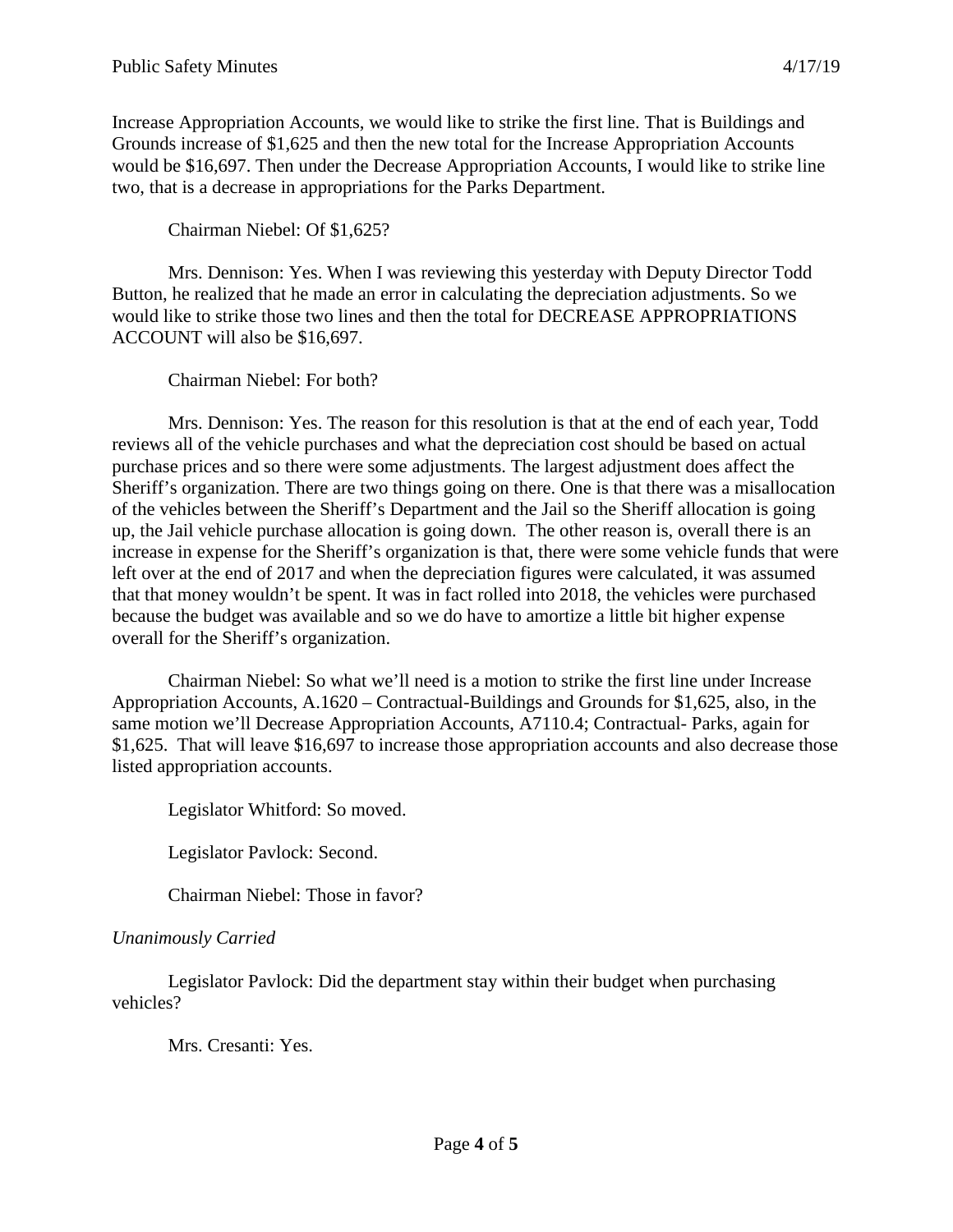Increase Appropriation Accounts, we would like to strike the first line. That is Buildings and Grounds increase of \$1,625 and then the new total for the Increase Appropriation Accounts would be \$16,697. Then under the Decrease Appropriation Accounts, I would like to strike line two, that is a decrease in appropriations for the Parks Department.

Chairman Niebel: Of \$1,625?

Mrs. Dennison: Yes. When I was reviewing this yesterday with Deputy Director Todd Button, he realized that he made an error in calculating the depreciation adjustments. So we would like to strike those two lines and then the total for DECREASE APPROPRIATIONS ACCOUNT will also be \$16,697.

Chairman Niebel: For both?

Mrs. Dennison: Yes. The reason for this resolution is that at the end of each year, Todd reviews all of the vehicle purchases and what the depreciation cost should be based on actual purchase prices and so there were some adjustments. The largest adjustment does affect the Sheriff's organization. There are two things going on there. One is that there was a misallocation of the vehicles between the Sheriff's Department and the Jail so the Sheriff allocation is going up, the Jail vehicle purchase allocation is going down. The other reason is, overall there is an increase in expense for the Sheriff's organization is that, there were some vehicle funds that were left over at the end of 2017 and when the depreciation figures were calculated, it was assumed that that money wouldn't be spent. It was in fact rolled into 2018, the vehicles were purchased because the budget was available and so we do have to amortize a little bit higher expense overall for the Sheriff's organization.

Chairman Niebel: So what we'll need is a motion to strike the first line under Increase Appropriation Accounts, A.1620 – Contractual-Buildings and Grounds for \$1,625, also, in the same motion we'll Decrease Appropriation Accounts, A7110.4; Contractual- Parks, again for \$1,625. That will leave \$16,697 to increase those appropriation accounts and also decrease those listed appropriation accounts.

Legislator Whitford: So moved.

Legislator Pavlock: Second.

Chairman Niebel: Those in favor?

#### *Unanimously Carried*

Legislator Pavlock: Did the department stay within their budget when purchasing vehicles?

Mrs. Cresanti: Yes.